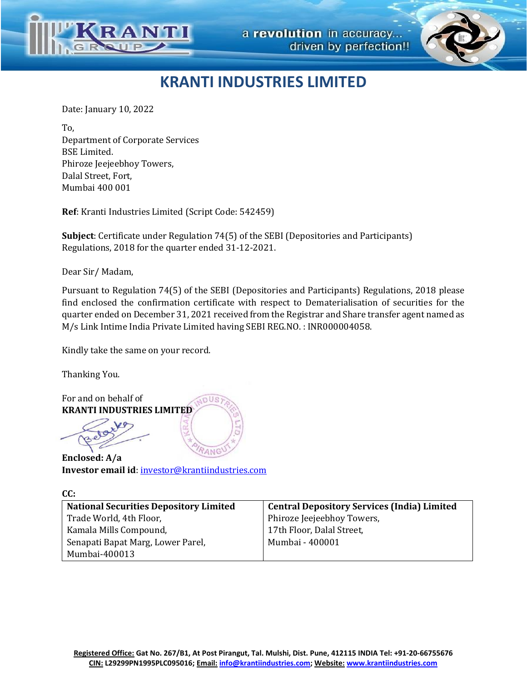



## **KRANTI INDUSTRIES LIMITED**

Date: January 10, 2022

To, Department of Corporate Services BSE Limited. Phiroze Jeejeebhoy Towers, Dalal Street, Fort, Mumbai 400 001

**Ref**: Kranti Industries Limited (Script Code: 542459)

**Subject**: Certificate under Regulation 74(5) of the SEBI (Depositories and Participants) Regulations, 2018 for the quarter ended 31-12-2021.

Dear Sir/ Madam,

Pursuant to Regulation 74(5) of the SEBI (Depositories and Participants) Regulations, 2018 please find enclosed the confirmation certificate with respect to Dematerialisation of securities for the quarter ended on December 31, 2021 received from the Registrar and Share transfer agent named as M/s Link Intime India Private Limited having SEBI REG.NO. : INR000004058.

Kindly take the same on your record.

Thanking You.

 $C<sub>C</sub>$ 

For and on behalf of **JDUS KRANTI INDUSTRIES LIMITED**

ANC **Enclosed: A/a Investor email id**: [investor@krantiindustries.com](mailto:investor@krantiindustries.com)

| uu:                                           |                                                    |
|-----------------------------------------------|----------------------------------------------------|
| <b>National Securities Depository Limited</b> | <b>Central Depository Services (India) Limited</b> |
| Trade World, 4th Floor,                       | Phiroze Jeejeebhoy Towers,                         |
| Kamala Mills Compound,                        | 17th Floor, Dalal Street,                          |
| Senapati Bapat Marg, Lower Parel,             | Mumbai - 400001                                    |
| Mumbai-400013                                 |                                                    |